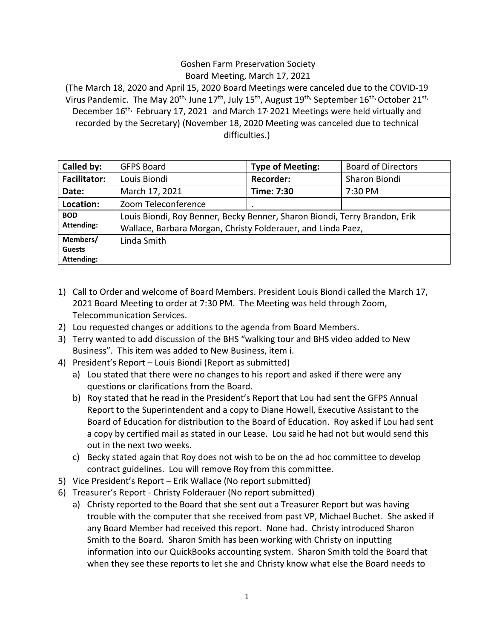## Goshen Farm Preservation Society Board Meeting, March 17, 2021

(The March 18, 2020 and April 15, 2020 Board Meetings were canceled due to the COVID-19 Virus Pandemic. The May 20<sup>th,</sup> June 17<sup>th</sup>, July 15<sup>th</sup>, August 19<sup>th,</sup> September 16<sup>th,</sup> October 21<sup>st,</sup> December  $16<sup>th</sup>$ , February 17, 2021 and March 17/2021 Meetings were held virtually and recorded by the Secretary) (November 18, 2020 Meeting was canceled due to technical difficulties.)

| Called by:                              | <b>GFPS Board</b>                                                                                                                          | <b>Type of Meeting:</b> | <b>Board of Directors</b> |
|-----------------------------------------|--------------------------------------------------------------------------------------------------------------------------------------------|-------------------------|---------------------------|
| <b>Facilitator:</b>                     | Louis Biondi                                                                                                                               | <b>Recorder:</b>        | Sharon Biondi             |
| Date:                                   | March 17, 2021                                                                                                                             | Time: 7:30              | 7:30 PM                   |
| Location:                               | Zoom Teleconference                                                                                                                        |                         |                           |
| <b>BOD</b><br><b>Attending:</b>         | Louis Biondi, Roy Benner, Becky Benner, Sharon Biondi, Terry Brandon, Erik<br>Wallace, Barbara Morgan, Christy Folderauer, and Linda Paez, |                         |                           |
| Members/<br><b>Guests</b><br>Attending: | Linda Smith                                                                                                                                |                         |                           |

- 1) Call to Order and welcome of Board Members. President Louis Biondi called the March 17, 2021 Board Meeting to order at 7:30 PM. The Meeting was held through Zoom, Telecommunication Services.
- 2) Lou requested changes or additions to the agenda from Board Members.
- 3) Terry wanted to add discussion of the BHS "walking tour and BHS video added to New Business". This item was added to New Business, item i.
- 4) President's Report Louis Biondi (Report as submitted)
	- a) Lou stated that there were no changes to his report and asked if there were any questions or clarifications from the Board.
	- b) Roy stated that he read in the President's Report that Lou had sent the GFPS Annual Report to the Superintendent and a copy to Diane Howell, Executive Assistant to the Board of Education for distribution to the Board of Education. Roy asked if Lou had sent a copy by certified mail as stated in our Lease. Lou said he had not but would send this out in the next two weeks.
	- c) Becky stated again that Roy does not wish to be on the ad hoc committee to develop contract guidelines. Lou will remove Roy from this committee.
- 5) Vice President's Report Erik Wallace (No report submitted)
- 6) Treasurer's Report Christy Folderauer (No report submitted)
	- a) Christy reported to the Board that she sent out a Treasurer Report but was having trouble with the computer that she received from past VP, Michael Buchet. She asked if any Board Member had received this report. None had. Christy introduced Sharon Smith to the Board. Sharon Smith has been working with Christy on inputting information into our QuickBooks accounting system. Sharon Smith told the Board that when they see these reports to let she and Christy know what else the Board needs to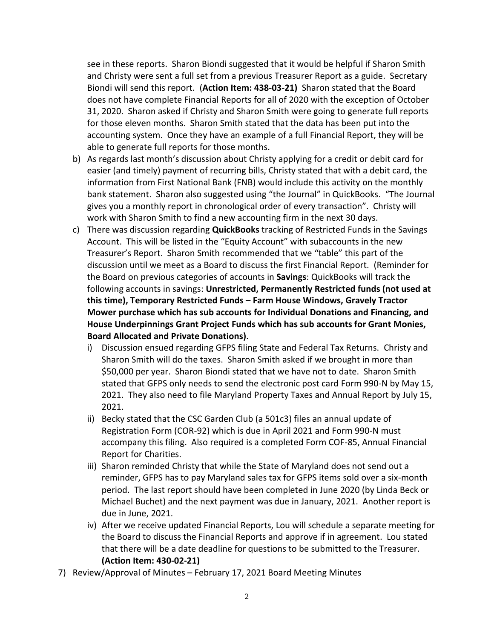see in these reports. Sharon Biondi suggested that it would be helpful if Sharon Smith and Christy were sent a full set from a previous Treasurer Report as a guide. Secretary Biondi will send this report. (**Action Item: 438-03-21)** Sharon stated that the Board does not have complete Financial Reports for all of 2020 with the exception of October 31, 2020. Sharon asked if Christy and Sharon Smith were going to generate full reports for those eleven months. Sharon Smith stated that the data has been put into the accounting system. Once they have an example of a full Financial Report, they will be able to generate full reports for those months.

- b) As regards last month's discussion about Christy applying for a credit or debit card for easier (and timely) payment of recurring bills, Christy stated that with a debit card, the information from First National Bank (FNB) would include this activity on the monthly bank statement. Sharon also suggested using "the Journal" in QuickBooks. "The Journal gives you a monthly report in chronological order of every transaction". Christy will work with Sharon Smith to find a new accounting firm in the next 30 days.
- c) There was discussion regarding **QuickBooks** tracking of Restricted Funds in the Savings Account. This will be listed in the "Equity Account" with subaccounts in the new Treasurer's Report. Sharon Smith recommended that we "table" this part of the discussion until we meet as a Board to discuss the first Financial Report. (Reminder for the Board on previous categories of accounts in **Savings**: QuickBooks will track the following accounts in savings: **Unrestricted, Permanently Restricted funds (not used at this time), Temporary Restricted Funds – Farm House Windows, Gravely Tractor Mower purchase which has sub accounts for Individual Donations and Financing, and House Underpinnings Grant Project Funds which has sub accounts for Grant Monies, Board Allocated and Private Donations)**.
	- i) Discussion ensued regarding GFPS filing State and Federal Tax Returns. Christy and Sharon Smith will do the taxes. Sharon Smith asked if we brought in more than \$50,000 per year. Sharon Biondi stated that we have not to date. Sharon Smith stated that GFPS only needs to send the electronic post card Form 990-N by May 15, 2021. They also need to file Maryland Property Taxes and Annual Report by July 15, 2021.
	- ii) Becky stated that the CSC Garden Club (a 501c3) files an annual update of Registration Form (COR-92) which is due in April 2021 and Form 990-N must accompany this filing. Also required is a completed Form COF-85, Annual Financial Report for Charities.
	- iii) Sharon reminded Christy that while the State of Maryland does not send out a reminder, GFPS has to pay Maryland sales tax for GFPS items sold over a six-month period. The last report should have been completed in June 2020 (by Linda Beck or Michael Buchet) and the next payment was due in January, 2021. Another report is due in June, 2021.
	- iv) After we receive updated Financial Reports, Lou will schedule a separate meeting for the Board to discuss the Financial Reports and approve if in agreement. Lou stated that there will be a date deadline for questions to be submitted to the Treasurer. **(Action Item: 430-02-21)**
- 7) Review/Approval of Minutes February 17, 2021 Board Meeting Minutes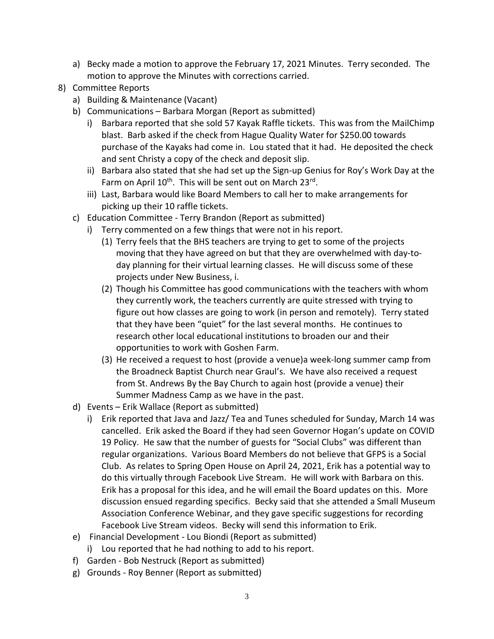- a) Becky made a motion to approve the February 17, 2021 Minutes. Terry seconded. The motion to approve the Minutes with corrections carried.
- 8) Committee Reports
	- a) Building & Maintenance (Vacant)
	- b) Communications Barbara Morgan (Report as submitted)
		- i) Barbara reported that she sold 57 Kayak Raffle tickets. This was from the MailChimp blast. Barb asked if the check from Hague Quality Water for \$250.00 towards purchase of the Kayaks had come in. Lou stated that it had. He deposited the check and sent Christy a copy of the check and deposit slip.
		- ii) Barbara also stated that she had set up the Sign-up Genius for Roy's Work Day at the Farm on April 10<sup>th</sup>. This will be sent out on March 23<sup>rd</sup>.
		- iii) Last, Barbara would like Board Members to call her to make arrangements for picking up their 10 raffle tickets.
	- c) Education Committee Terry Brandon (Report as submitted)
		- i) Terry commented on a few things that were not in his report.
			- (1) Terry feels that the BHS teachers are trying to get to some of the projects moving that they have agreed on but that they are overwhelmed with day-today planning for their virtual learning classes. He will discuss some of these projects under New Business, i.
			- (2) Though his Committee has good communications with the teachers with whom they currently work, the teachers currently are quite stressed with trying to figure out how classes are going to work (in person and remotely). Terry stated that they have been "quiet" for the last several months. He continues to research other local educational institutions to broaden our and their opportunities to work with Goshen Farm.
			- (3) He received a request to host (provide a venue)a week-long summer camp from the Broadneck Baptist Church near Graul's. We have also received a request from St. Andrews By the Bay Church to again host (provide a venue) their Summer Madness Camp as we have in the past.
	- d) Events Erik Wallace (Report as submitted)
		- i) Erik reported that Java and Jazz/ Tea and Tunes scheduled for Sunday, March 14 was cancelled. Erik asked the Board if they had seen Governor Hogan's update on COVID 19 Policy. He saw that the number of guests for "Social Clubs" was different than regular organizations. Various Board Members do not believe that GFPS is a Social Club. As relates to Spring Open House on April 24, 2021, Erik has a potential way to do this virtually through Facebook Live Stream. He will work with Barbara on this. Erik has a proposal for this idea, and he will email the Board updates on this. More discussion ensued regarding specifics. Becky said that she attended a Small Museum Association Conference Webinar, and they gave specific suggestions for recording Facebook Live Stream videos. Becky will send this information to Erik.
	- e) Financial Development Lou Biondi (Report as submitted)
		- i) Lou reported that he had nothing to add to his report.
	- f) Garden Bob Nestruck (Report as submitted)
	- g) Grounds Roy Benner (Report as submitted)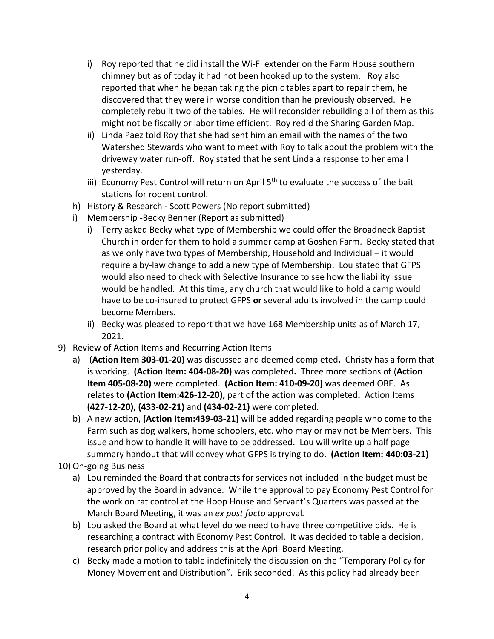- i) Roy reported that he did install the Wi-Fi extender on the Farm House southern chimney but as of today it had not been hooked up to the system. Roy also reported that when he began taking the picnic tables apart to repair them, he discovered that they were in worse condition than he previously observed. He completely rebuilt two of the tables. He will reconsider rebuilding all of them as this might not be fiscally or labor time efficient. Roy redid the Sharing Garden Map.
- ii) Linda Paez told Roy that she had sent him an email with the names of the two Watershed Stewards who want to meet with Roy to talk about the problem with the driveway water run-off. Roy stated that he sent Linda a response to her email yesterday.
- iii) Economy Pest Control will return on April  $5<sup>th</sup>$  to evaluate the success of the bait stations for rodent control.
- h) History & Research Scott Powers (No report submitted)
- i) Membership -Becky Benner (Report as submitted)
	- i) Terry asked Becky what type of Membership we could offer the Broadneck Baptist Church in order for them to hold a summer camp at Goshen Farm. Becky stated that as we only have two types of Membership, Household and Individual – it would require a by-law change to add a new type of Membership. Lou stated that GFPS would also need to check with Selective Insurance to see how the liability issue would be handled. At this time, any church that would like to hold a camp would have to be co-insured to protect GFPS **or** several adults involved in the camp could become Members.
	- ii) Becky was pleased to report that we have 168 Membership units as of March 17, 2021.
- 9) Review of Action Items and Recurring Action Items
	- a) (**Action Item 303-01-20)** was discussed and deemed completed**.** Christy has a form that is working. **(Action Item: 404-08-20)** was completed**.** Three more sections of (**Action Item 405-08-20)** were completed. **(Action Item: 410-09-20)** was deemed OBE. As relates to **(Action Item:426-12-20),** part of the action was completed**.** Action Items **(427-12-20), (433-02-21)** and **(434-02-21)** were completed.
	- b) A new action, **(Action Item:439-03-21)** will be added regarding people who come to the Farm such as dog walkers, home schoolers, etc. who may or may not be Members. This issue and how to handle it will have to be addressed. Lou will write up a half page summary handout that will convey what GFPS is trying to do. **(Action Item: 440:03-21)**
- 10) On-going Business
	- a) Lou reminded the Board that contracts for services not included in the budget must be approved by the Board in advance. While the approval to pay Economy Pest Control for the work on rat control at the Hoop House and Servant's Quarters was passed at the March Board Meeting, it was an *ex post facto* approval*.*
	- b) Lou asked the Board at what level do we need to have three competitive bids. He is researching a contract with Economy Pest Control. It was decided to table a decision, research prior policy and address this at the April Board Meeting.
	- c) Becky made a motion to table indefinitely the discussion on the "Temporary Policy for Money Movement and Distribution". Erik seconded. As this policy had already been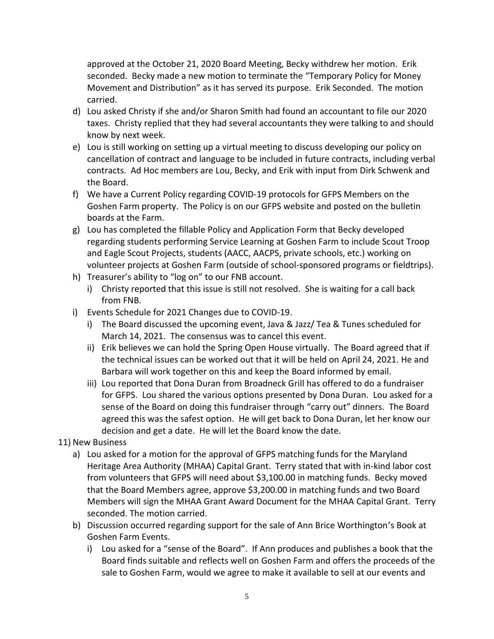approved at the October 21, 2020 Board Meeting, Becky withdrew her motion. Erik seconded. Becky made a new motion to terminate the "Temporary Policy for Money Movement and Distribution" as it has served its purpose. Erik Seconded. The motion carried.

- d) Lou asked Christy if she and/or Sharon Smith had found an accountant to file our 2020 taxes. Christy replied that they had several accountants they were talking to and should know by next week.
- e) Lou is still working on setting up a virtual meeting to discuss developing our policy on cancellation of contract and language to be included in future contracts, including verbal contracts. Ad Hoc members are Lou, Becky, and Erik with input from Dirk Schwenk and the Board.
- f) We have a Current Policy regarding COVID-19 protocols for GFPS Members on the Goshen Farm property. The Policy is on our GFPS website and posted on the bulletin boards at the Farm.
- g) Lou has completed the fillable Policy and Application Form that Becky developed regarding students performing Service Learning at Goshen Farm to include Scout Troop and Eagle Scout Projects, students (AACC, AACPS, private schools, etc.) working on volunteer projects at Goshen Farm (outside of school-sponsored programs or fieldtrips).
- h) Treasurer's ability to "log on" to our FNB account.
	- i) Christy reported that this issue is still not resolved. She is waiting for a call back from FNB.
- i) Events Schedule for 2021 Changes due to COVID-19.
	- i) The Board discussed the upcoming event, Java & Jazz/ Tea & Tunes scheduled for March 14, 2021. The consensus was to cancel this event.
	- ii) Erik believes we can hold the Spring Open House virtually. The Board agreed that if the technical issues can be worked out that it will be held on April 24, 2021. He and Barbara will work together on this and keep the Board informed by email.
	- iii) Lou reported that Dona Duran from Broadneck Grill has offered to do a fundraiser for GFPS. Lou shared the various options presented by Dona Duran. Lou asked for a sense of the Board on doing this fundraiser through "carry out" dinners. The Board agreed this was the safest option. He will get back to Dona Duran, let her know our decision and get a date. He will let the Board know the date.

## 11) New Business

- a) Lou asked for a motion for the approval of GFPS matching funds for the Maryland Heritage Area Authority (MHAA) Capital Grant. Terry stated that with in-kind labor cost from volunteers that GFPS will need about \$3,100.00 in matching funds. Becky moved that the Board Members agree, approve \$3,200.00 in matching funds and two Board Members will sign the MHAA Grant Award Document for the MHAA Capital Grant. Terry seconded. The motion carried.
- b) Discussion occurred regarding support for the sale of Ann Brice Worthington's Book at Goshen Farm Events.
	- i) Lou asked for a "sense of the Board". If Ann produces and publishes a book that the Board finds suitable and reflects well on Goshen Farm and offers the proceeds of the sale to Goshen Farm, would we agree to make it available to sell at our events and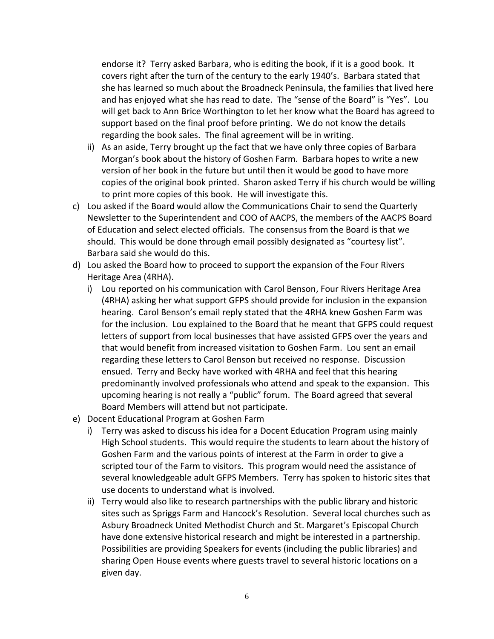endorse it? Terry asked Barbara, who is editing the book, if it is a good book. It covers right after the turn of the century to the early 1940's. Barbara stated that she has learned so much about the Broadneck Peninsula, the families that lived here and has enjoyed what she has read to date. The "sense of the Board" is "Yes". Lou will get back to Ann Brice Worthington to let her know what the Board has agreed to support based on the final proof before printing. We do not know the details regarding the book sales. The final agreement will be in writing.

- ii) As an aside, Terry brought up the fact that we have only three copies of Barbara Morgan's book about the history of Goshen Farm. Barbara hopes to write a new version of her book in the future but until then it would be good to have more copies of the original book printed. Sharon asked Terry if his church would be willing to print more copies of this book. He will investigate this.
- c) Lou asked if the Board would allow the Communications Chair to send the Quarterly Newsletter to the Superintendent and COO of AACPS, the members of the AACPS Board of Education and select elected officials. The consensus from the Board is that we should. This would be done through email possibly designated as "courtesy list". Barbara said she would do this.
- d) Lou asked the Board how to proceed to support the expansion of the Four Rivers Heritage Area (4RHA).
	- i) Lou reported on his communication with Carol Benson, Four Rivers Heritage Area (4RHA) asking her what support GFPS should provide for inclusion in the expansion hearing. Carol Benson's email reply stated that the 4RHA knew Goshen Farm was for the inclusion. Lou explained to the Board that he meant that GFPS could request letters of support from local businesses that have assisted GFPS over the years and that would benefit from increased visitation to Goshen Farm. Lou sent an email regarding these letters to Carol Benson but received no response. Discussion ensued. Terry and Becky have worked with 4RHA and feel that this hearing predominantly involved professionals who attend and speak to the expansion. This upcoming hearing is not really a "public" forum. The Board agreed that several Board Members will attend but not participate.
- e) Docent Educational Program at Goshen Farm
	- i) Terry was asked to discuss his idea for a Docent Education Program using mainly High School students. This would require the students to learn about the history of Goshen Farm and the various points of interest at the Farm in order to give a scripted tour of the Farm to visitors. This program would need the assistance of several knowledgeable adult GFPS Members. Terry has spoken to historic sites that use docents to understand what is involved.
	- ii) Terry would also like to research partnerships with the public library and historic sites such as Spriggs Farm and Hancock's Resolution. Several local churches such as Asbury Broadneck United Methodist Church and St. Margaret's Episcopal Church have done extensive historical research and might be interested in a partnership. Possibilities are providing Speakers for events (including the public libraries) and sharing Open House events where guests travel to several historic locations on a given day.